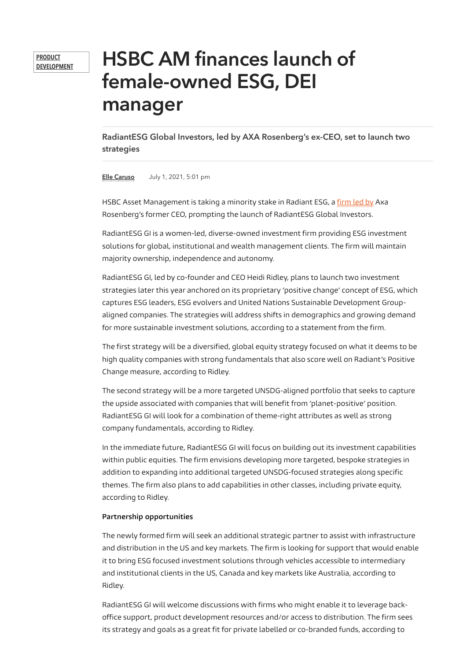## **PRODUCT**

## **PRODUCT HSBC AM finances launch of** female-owned ESG, DEI manager

RadiantESG Global Investors, led by AXA Rosenberg's ex-CEO, set to launch two strategies

[Elle Caruso](https://fundintelligence.global/author/ellecarusohpjaiftxkd) July 1, 2021, 5:01 pm

HSBC Asset Management is taking a minority stake in Radiant ESG, a <u>[firm led](https://fundintelligence.global/business-strategy/news/ex-rosenberg-equities-ceo-to-launch-esg-focused-asset-manager-2/) by</u> Axa Rosenberg's former CEO, prompting the launch of RadiantESG Global Investors.

RadiantESG GI is a women-led, diverse-owned investment firm providing ESG investment solutions for global, institutional and wealth management clients. The firm will maintain majority ownership, independence and autonomy.

RadiantESG GI, led by co-founder and CEO Heidi Ridley, plans to launch two investment strategies later this year anchored on its proprietary 'positive change' concept of ESG, which captures ESG leaders, ESG evolvers and United Nations Sustainable Development Groupaligned companies. The strategies will address shifts in demographics and growing demand for more sustainable investment solutions, according to a statement from the firm.

The first strategy will be a diversified, global equity strategy focused on what it deems to be high quality companies with strong fundamentals that also score well on Radiant's Positive Change measure, according to Ridley.

The second strategy will be a more targeted UNSDG-aligned portfolio that seeks to capture the upside associated with companies that will benefit from 'planet-positive' position. RadiantESG GI will look for a combination of theme-right attributes as well as strong company fundamentals, according to Ridley.

In the immediate future, RadiantESG GI will focus on building out its investment capabilities within public equities. The firm envisions developing more targeted, bespoke strategies in addition to expanding into additional targeted UNSDG-focused strategies along specific themes. The firm also plans to add capabilities in other classes, including private equity, according to Ridley.

## **Partnership opportunities**

The newly formed firm will seek an additional strategic partner to assist with infrastructure and distribution in the US and key markets. The firm is looking for support that would enable it to bring ESG focused investment solutions through vehicles accessible to intermediary and institutional clients in the US, Canada and key markets like Australia, according to Ridley.

RadiantESG GI will welcome discussions with firms who might enable it to leverage backoffice support, product development resources and/or access to distribution. The firm sees its strategy and goals as a great fit for private labelled or co-branded funds, according to